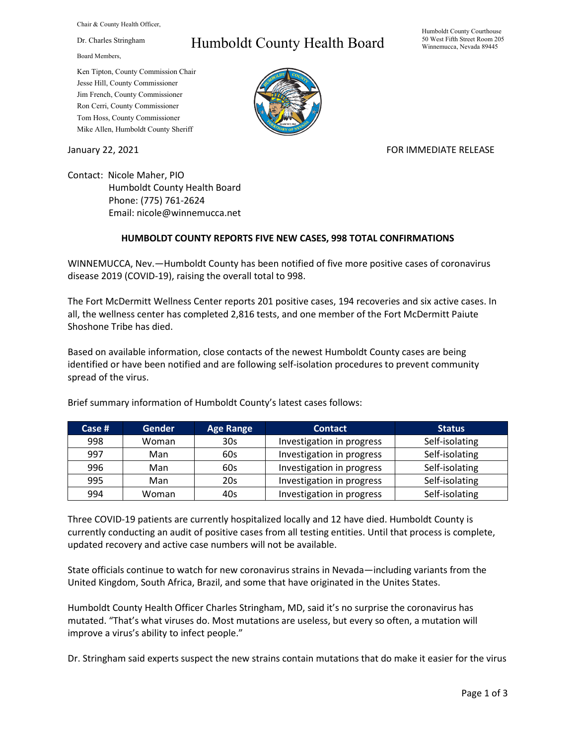Chair & County Health Officer,

Dr. Charles Stringham

Board Members,

## Ken Tipton, County Commission Chair Jesse Hill, County Commissioner Jim French, County Commissioner Ron Cerri, County Commissioner Tom Hoss, County Commissioner Mike Allen, Humboldt County Sheriff

## Humboldt County Health Board

## Humboldt County Courthouse 50 West Fifth Street Room 205 Winnemucca, Nevada 89445



January 22, 2021 **FOR IMMEDIATE RELEASE** 

Contact: Nicole Maher, PIO Humboldt County Health Board Phone: (775) 761-2624 Email: nicole@winnemucca.net

## **HUMBOLDT COUNTY REPORTS FIVE NEW CASES, 998 TOTAL CONFIRMATIONS**

WINNEMUCCA, Nev.—Humboldt County has been notified of five more positive cases of coronavirus disease 2019 (COVID-19), raising the overall total to 998.

The Fort McDermitt Wellness Center reports 201 positive cases, 194 recoveries and six active cases. In all, the wellness center has completed 2,816 tests, and one member of the Fort McDermitt Paiute Shoshone Tribe has died.

Based on available information, close contacts of the newest Humboldt County cases are being identified or have been notified and are following self-isolation procedures to prevent community spread of the virus.

| Case $#$ | <b>Gender</b> | <b>Age Range</b> | <b>Contact</b>            | <b>Status</b>  |
|----------|---------------|------------------|---------------------------|----------------|
| 998      | Woman         | 30 <sub>s</sub>  | Investigation in progress | Self-isolating |
| 997      | Man           | 60s              | Investigation in progress | Self-isolating |
| 996      | Man           | 60s              | Investigation in progress | Self-isolating |
| 995      | Man           | 20s              | Investigation in progress | Self-isolating |
| 994      | Woman         | 40s              | Investigation in progress | Self-isolating |

Brief summary information of Humboldt County's latest cases follows:

Three COVID-19 patients are currently hospitalized locally and 12 have died. Humboldt County is currently conducting an audit of positive cases from all testing entities. Until that process is complete, updated recovery and active case numbers will not be available.

State officials continue to watch for new coronavirus strains in Nevada—including variants from the United Kingdom, South Africa, Brazil, and some that have originated in the Unites States.

Humboldt County Health Officer Charles Stringham, MD, said it's no surprise the coronavirus has mutated. "That's what viruses do. Most mutations are useless, but every so often, a mutation will improve a virus's ability to infect people."

Dr. Stringham said experts suspect the new strains contain mutations that do make it easier for the virus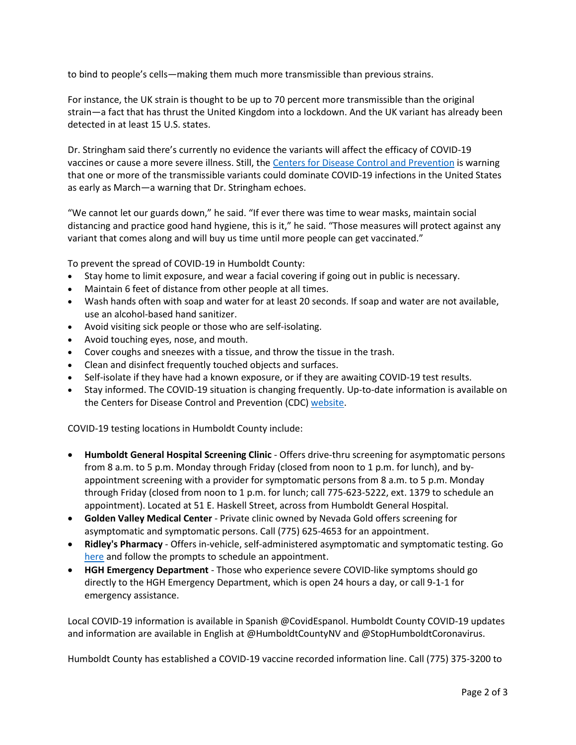to bind to people's cells—making them much more transmissible than previous strains.

For instance, the UK strain is thought to be up to 70 percent more transmissible than the original strain—a fact that has thrust the United Kingdom into a lockdown. And the UK variant has already been detected in at least 15 U.S. states.

Dr. Stringham said there's currently no evidence the variants will affect the efficacy of COVID-19 vaccines or cause a more severe illness. Still, the [Centers for Disease Control and Prevention](https://www.cdc.gov/mmwr/volumes/70/wr/mm7003e2.htm?s_cid=mm7003e2_w) is warning that one or more of the transmissible variants could dominate COVID-19 infections in the United States as early as March—a warning that Dr. Stringham echoes.

"We cannot let our guards down," he said. "If ever there was time to wear masks, maintain social distancing and practice good hand hygiene, this is it," he said. "Those measures will protect against any variant that comes along and will buy us time until more people can get vaccinated."

To prevent the spread of COVID-19 in Humboldt County:

- Stay home to limit exposure, and wear a facial covering if going out in public is necessary.
- Maintain 6 feet of distance from other people at all times.
- Wash hands often with soap and water for at least 20 seconds. If soap and water are not available, use an alcohol-based hand sanitizer.
- Avoid visiting sick people or those who are self-isolating.
- Avoid touching eyes, nose, and mouth.
- Cover coughs and sneezes with a tissue, and throw the tissue in the trash.
- Clean and disinfect frequently touched objects and surfaces.
- Self-isolate if they have had a known exposure, or if they are awaiting COVID-19 test results.
- Stay informed. The COVID-19 situation is changing frequently. Up-to-date information is available on the Centers for Disease Control and Prevention (CDC) [website.](http://www.cdc.gov/coronavirus/2019-ncov/index.html)

COVID-19 testing locations in Humboldt County include:

- **Humboldt General Hospital Screening Clinic** Offers drive-thru screening for asymptomatic persons from 8 a.m. to 5 p.m. Monday through Friday (closed from noon to 1 p.m. for lunch), and byappointment screening with a provider for symptomatic persons from 8 a.m. to 5 p.m. Monday through Friday (closed from noon to 1 p.m. for lunch; call 775-623-5222, ext. 1379 to schedule an appointment). Located at 51 E. Haskell Street, across from Humboldt General Hospital.
- **Golden Valley Medical Center** Private clinic owned by Nevada Gold offers screening for asymptomatic and symptomatic persons. Call (775) 625-4653 for an appointment.
- **Ridley's Pharmacy** Offers in-vehicle, self-administered asymptomatic and symptomatic testing. Go [here](https://www.doineedacovid19test.com/Winnemucca_NV_1098.html) and follow the prompts to schedule an appointment.
- **HGH Emergency Department**  Those who experience severe COVID-like symptoms should go directly to the HGH Emergency Department, which is open 24 hours a day, or call 9-1-1 for emergency assistance.

Local COVID-19 information is available in Spanish @CovidEspanol. Humboldt County COVID-19 updates and information are available in English at @HumboldtCountyNV and @StopHumboldtCoronavirus.

Humboldt County has established a COVID-19 vaccine recorded information line. Call (775) 375-3200 to